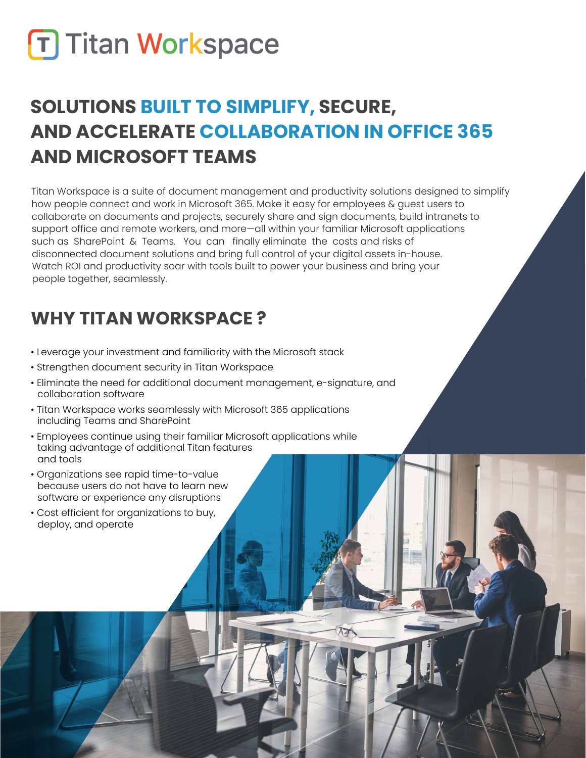# **T Titan Workspace**

## **SOLUTIONS BUILT TO SIMPLIFY, SECURE, AND ACCELERATE COLLABORATION IN OFFICE 365 AND MICROSOFT TEAMS**

Titan Workspace is a suite of document management and productivity solutions designed to simplify how people connect and work in Microsoft 365. Make it easy for employees & guest users to collaborate on documents and projects, securely share and sign documents, build intranets to support office and remote workers, and more—all within your familiar Microsoft applications such as SharePoint & Teams. You can finally eliminate the costs and risks of disconnected document solutions and bring full control of your digital assets in-house. Watch ROI and productivity soar with tools built to power your business and bring your people together, seamlessly.

### **WHY TITAN WORKSPACE ?**

- Leverage your investment and familiarity with the Microsoft stack
- Strengthen document security in Titan Workspace
- Eliminate the need for additional document management, e-signature, and collaboration software
- Titan Workspace works seamlessly with Microsoft 365 applications including Teams and SharePoint
- Employees continue using their familiar Microsoft applications while taking advantage of additional Titan features and tools
- Organizations see rapid time-to-value because users do not have to learn new software or experience any disruptions
- Cost efficient for organizations to buy, deploy, and operate